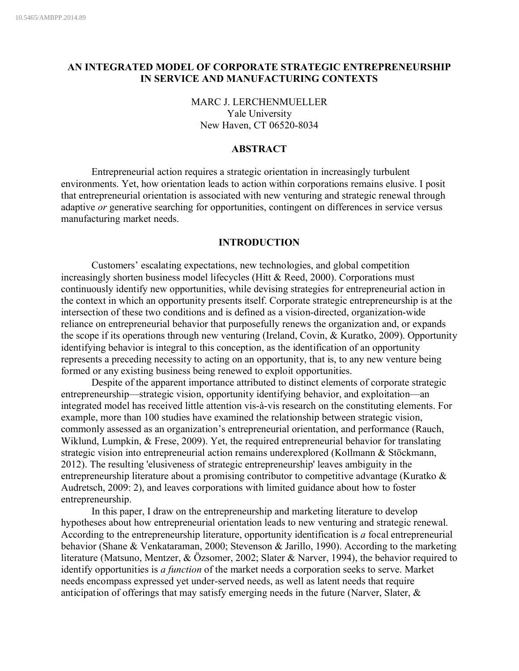# **AN INTEGRATED MODEL OF CORPORATE STRATEGIC ENTREPRENEURSHIP IN SERVICE AND MANUFACTURING CONTEXTS**

MARC J. LERCHENMUELLER Yale University New Haven, CT 06520-8034

### **ABSTRACT**

Entrepreneurial action requires a strategic orientation in increasingly turbulent environments. Yet, how orientation leads to action within corporations remains elusive. I posit that entrepreneurial orientation is associated with new venturing and strategic renewal through adaptive *or* generative searching for opportunities, contingent on differences in service versus manufacturing market needs.

### **INTRODUCTION**

Customers' escalating expectations, new technologies, and global competition increasingly shorten business model lifecycles (Hitt & Reed, 2000). Corporations must continuously identify new opportunities, while devising strategies for entrepreneurial action in the context in which an opportunity presents itself. Corporate strategic entrepreneurship is at the intersection of these two conditions and is defined as a vision-directed, organization-wide reliance on entrepreneurial behavior that purposefully renews the organization and, or expands the scope if its operations through new venturing (Ireland, Covin, & Kuratko, 2009). Opportunity identifying behavior is integral to this conception, as the identification of an opportunity represents a preceding necessity to acting on an opportunity, that is, to any new venture being formed or any existing business being renewed to exploit opportunities.

Despite of the apparent importance attributed to distinct elements of corporate strategic entrepreneurship—strategic vision, opportunity identifying behavior, and exploitation—an integrated model has received little attention vis-à-vis research on the constituting elements. For example, more than 100 studies have examined the relationship between strategic vision, commonly assessed as an organization's entrepreneurial orientation, and performance (Rauch, Wiklund, Lumpkin, & Frese, 2009). Yet, the required entrepreneurial behavior for translating strategic vision into entrepreneurial action remains underexplored (Kollmann & Stöckmann, 2012). The resulting 'elusiveness of strategic entrepreneurship' leaves ambiguity in the entrepreneurship literature about a promising contributor to competitive advantage (Kuratko & Audretsch, 2009: 2), and leaves corporations with limited guidance about how to foster entrepreneurship.

In this paper, I draw on the entrepreneurship and marketing literature to develop hypotheses about how entrepreneurial orientation leads to new venturing and strategic renewal. According to the entrepreneurship literature, opportunity identification is *a* focal entrepreneurial behavior (Shane & Venkataraman, 2000; Stevenson & Jarillo, 1990). According to the marketing literature (Matsuno, Mentzer, & Özsomer, 2002; Slater & Narver, 1994), the behavior required to identify opportunities is *a function* of the market needs a corporation seeks to serve. Market needs encompass expressed yet under-served needs, as well as latent needs that require anticipation of offerings that may satisfy emerging needs in the future (Narver, Slater, &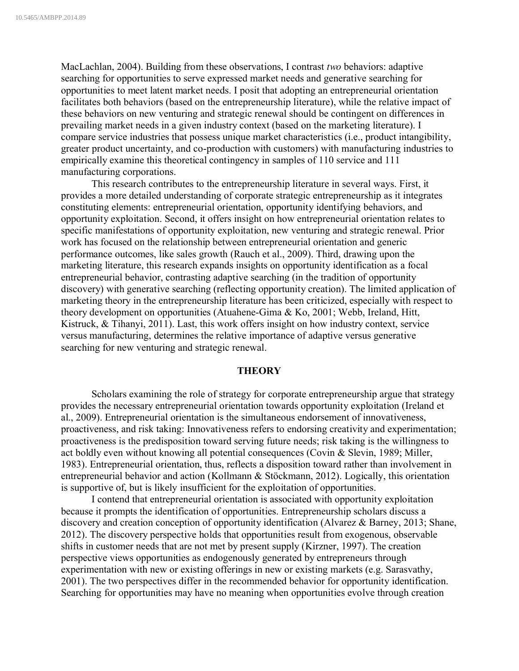MacLachlan, 2004). Building from these observations, I contrast *two* behaviors: adaptive searching for opportunities to serve expressed market needs and generative searching for opportunities to meet latent market needs. I posit that adopting an entrepreneurial orientation facilitates both behaviors (based on the entrepreneurship literature), while the relative impact of these behaviors on new venturing and strategic renewal should be contingent on differences in prevailing market needs in a given industry context (based on the marketing literature). I compare service industries that possess unique market characteristics (i.e., product intangibility, greater product uncertainty, and co-production with customers) with manufacturing industries to empirically examine this theoretical contingency in samples of 110 service and 111 manufacturing corporations.

This research contributes to the entrepreneurship literature in several ways. First, it provides a more detailed understanding of corporate strategic entrepreneurship as it integrates constituting elements: entrepreneurial orientation, opportunity identifying behaviors, and opportunity exploitation. Second, it offers insight on how entrepreneurial orientation relates to specific manifestations of opportunity exploitation, new venturing and strategic renewal. Prior work has focused on the relationship between entrepreneurial orientation and generic performance outcomes, like sales growth (Rauch et al., 2009). Third, drawing upon the marketing literature, this research expands insights on opportunity identification as a focal entrepreneurial behavior, contrasting adaptive searching (in the tradition of opportunity discovery) with generative searching (reflecting opportunity creation). The limited application of marketing theory in the entrepreneurship literature has been criticized, especially with respect to theory development on opportunities (Atuahene-Gima & Ko, 2001; Webb, Ireland, Hitt, Kistruck, & Tihanyi, 2011). Last, this work offers insight on how industry context, service versus manufacturing, determines the relative importance of adaptive versus generative searching for new venturing and strategic renewal.

## **THEORY**

Scholars examining the role of strategy for corporate entrepreneurship argue that strategy provides the necessary entrepreneurial orientation towards opportunity exploitation (Ireland et al., 2009). Entrepreneurial orientation is the simultaneous endorsement of innovativeness, proactiveness, and risk taking: Innovativeness refers to endorsing creativity and experimentation; proactiveness is the predisposition toward serving future needs; risk taking is the willingness to act boldly even without knowing all potential consequences (Covin & Slevin, 1989; Miller, 1983). Entrepreneurial orientation, thus, reflects a disposition toward rather than involvement in entrepreneurial behavior and action (Kollmann & Stöckmann, 2012). Logically, this orientation is supportive of, but is likely insufficient for the exploitation of opportunities.

I contend that entrepreneurial orientation is associated with opportunity exploitation because it prompts the identification of opportunities. Entrepreneurship scholars discuss a discovery and creation conception of opportunity identification (Alvarez & Barney, 2013; Shane, 2012). The discovery perspective holds that opportunities result from exogenous, observable shifts in customer needs that are not met by present supply (Kirzner, 1997). The creation perspective views opportunities as endogenously generated by entrepreneurs through experimentation with new or existing offerings in new or existing markets (e.g. Sarasvathy, 2001). The two perspectives differ in the recommended behavior for opportunity identification. Searching for opportunities may have no meaning when opportunities evolve through creation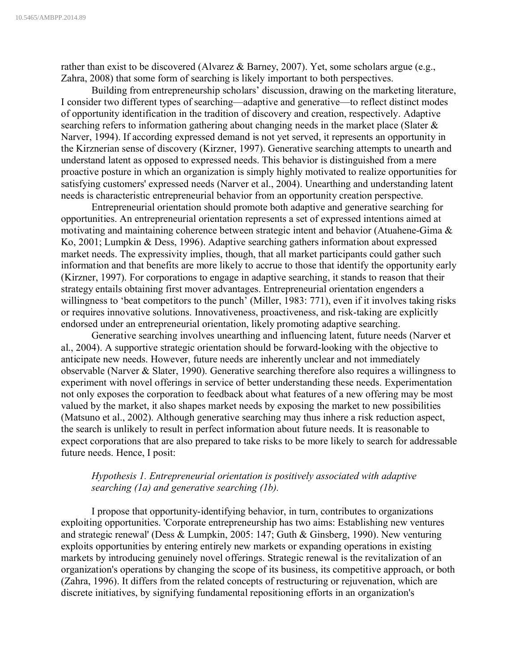rather than exist to be discovered (Alvarez & Barney, 2007). Yet, some scholars argue (e.g., Zahra, 2008) that some form of searching is likely important to both perspectives.

Building from entrepreneurship scholars' discussion, drawing on the marketing literature, I consider two different types of searching—adaptive and generative—to reflect distinct modes of opportunity identification in the tradition of discovery and creation, respectively. Adaptive searching refers to information gathering about changing needs in the market place (Slater & Narver, 1994). If according expressed demand is not yet served, it represents an opportunity in the Kirznerian sense of discovery (Kirzner, 1997). Generative searching attempts to unearth and understand latent as opposed to expressed needs. This behavior is distinguished from a mere proactive posture in which an organization is simply highly motivated to realize opportunities for satisfying customers' expressed needs (Narver et al., 2004). Unearthing and understanding latent needs is characteristic entrepreneurial behavior from an opportunity creation perspective.

Entrepreneurial orientation should promote both adaptive and generative searching for opportunities. An entrepreneurial orientation represents a set of expressed intentions aimed at motivating and maintaining coherence between strategic intent and behavior (Atuahene-Gima & Ko, 2001; Lumpkin & Dess, 1996). Adaptive searching gathers information about expressed market needs. The expressivity implies, though, that all market participants could gather such information and that benefits are more likely to accrue to those that identify the opportunity early (Kirzner, 1997). For corporations to engage in adaptive searching, it stands to reason that their strategy entails obtaining first mover advantages. Entrepreneurial orientation engenders a willingness to 'beat competitors to the punch' (Miller, 1983: 771), even if it involves taking risks or requires innovative solutions. Innovativeness, proactiveness, and risk-taking are explicitly endorsed under an entrepreneurial orientation, likely promoting adaptive searching.

Generative searching involves unearthing and influencing latent, future needs (Narver et al., 2004). A supportive strategic orientation should be forward-looking with the objective to anticipate new needs. However, future needs are inherently unclear and not immediately observable (Narver & Slater, 1990). Generative searching therefore also requires a willingness to experiment with novel offerings in service of better understanding these needs. Experimentation not only exposes the corporation to feedback about what features of a new offering may be most valued by the market, it also shapes market needs by exposing the market to new possibilities (Matsuno et al., 2002). Although generative searching may thus inhere a risk reduction aspect, the search is unlikely to result in perfect information about future needs. It is reasonable to expect corporations that are also prepared to take risks to be more likely to search for addressable future needs. Hence, I posit:

## *Hypothesis 1. Entrepreneurial orientation is positively associated with adaptive searching (1a) and generative searching (1b).*

I propose that opportunity-identifying behavior, in turn, contributes to organizations exploiting opportunities. 'Corporate entrepreneurship has two aims: Establishing new ventures and strategic renewal' (Dess & Lumpkin, 2005: 147; Guth & Ginsberg, 1990). New venturing exploits opportunities by entering entirely new markets or expanding operations in existing markets by introducing genuinely novel offerings. Strategic renewal is the revitalization of an organization's operations by changing the scope of its business, its competitive approach, or both (Zahra, 1996). It differs from the related concepts of restructuring or rejuvenation, which are discrete initiatives, by signifying fundamental repositioning efforts in an organization's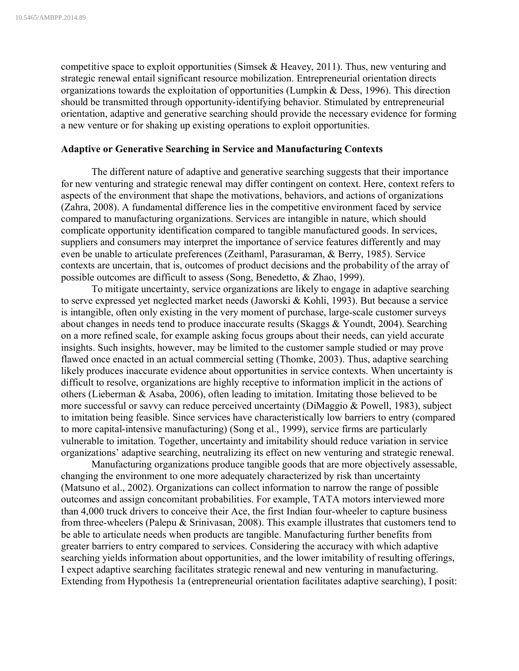competitive space to exploit opportunities (Simsek  $&$  Heavey, 2011). Thus, new venturing and strategic renewal entail significant resource mobilization. Entrepreneurial orientation directs organizations towards the exploitation of opportunities (Lumpkin & Dess, 1996). This direction should be transmitted through opportunity-identifying behavior. Stimulated by entrepreneurial orientation, adaptive and generative searching should provide the necessary evidence for forming a new venture or for shaking up existing operations to exploit opportunities.

#### **Adaptive or Generative Searching in Service and Manufacturing Contexts**

The different nature of adaptive and generative searching suggests that their importance for new venturing and strategic renewal may differ contingent on context. Here, context refers to aspects of the environment that shape the motivations, behaviors, and actions of organizations (Zahra, 2008). A fundamental difference lies in the competitive environment faced by service compared to manufacturing organizations. Services are intangible in nature, which should complicate opportunity identification compared to tangible manufactured goods. In services, suppliers and consumers may interpret the importance of service features differently and may even be unable to articulate preferences (Zeithaml, Parasuraman, & Berry, 1985). Service contexts are uncertain, that is, outcomes of product decisions and the probability of the array of possible outcomes are difficult to assess (Song, Benedetto, & Zhao, 1999).

To mitigate uncertainty, service organizations are likely to engage in adaptive searching to serve expressed yet neglected market needs (Jaworski & Kohli, 1993). But because a service is intangible, often only existing in the very moment of purchase, large-scale customer surveys about changes in needs tend to produce inaccurate results (Skaggs & Youndt, 2004). Searching on a more refined scale, for example asking focus groups about their needs, can yield accurate insights. Such insights, however, may be limited to the customer sample studied or may prove flawed once enacted in an actual commercial setting (Thomke, 2003). Thus, adaptive searching likely produces inaccurate evidence about opportunities in service contexts. When uncertainty is difficult to resolve, organizations are highly receptive to information implicit in the actions of others (Lieberman & Asaba, 2006), often leading to imitation. Imitating those believed to be more successful or savvy can reduce perceived uncertainty (DiMaggio & Powell, 1983), subject to imitation being feasible. Since services have characteristically low barriers to entry (compared to more capital-intensive manufacturing) (Song et al., 1999), service firms are particularly vulnerable to imitation. Together, uncertainty and imitability should reduce variation in service organizations' adaptive searching, neutralizing its effect on new venturing and strategic renewal.

Manufacturing organizations produce tangible goods that are more objectively assessable, changing the environment to one more adequately characterized by risk than uncertainty (Matsuno et al., 2002). Organizations can collect information to narrow the range of possible outcomes and assign concomitant probabilities. For example, TATA motors interviewed more than 4,000 truck drivers to conceive their Ace, the first Indian four-wheeler to capture business from three-wheelers (Palepu & Srinivasan, 2008). This example illustrates that customers tend to be able to articulate needs when products are tangible. Manufacturing further benefits from greater barriers to entry compared to services. Considering the accuracy with which adaptive searching yields information about opportunities, and the lower imitability of resulting offerings, I expect adaptive searching facilitates strategic renewal and new venturing in manufacturing. Extending from Hypothesis 1a (entrepreneurial orientation facilitates adaptive searching), I posit: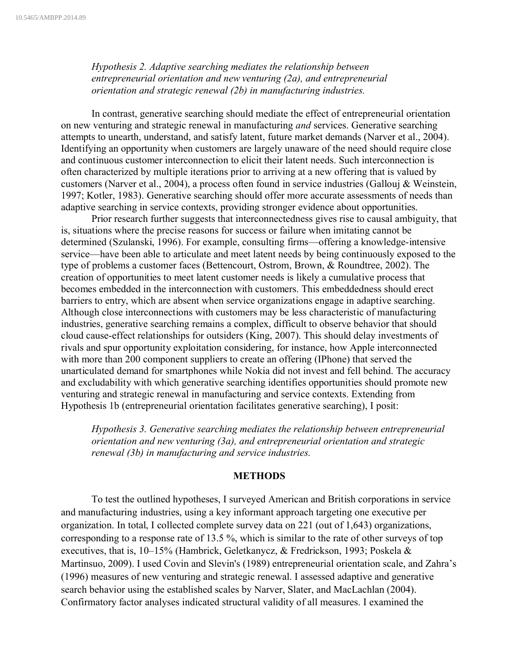*Hypothesis 2. Adaptive searching mediates the relationship between entrepreneurial orientation and new venturing (2a), and entrepreneurial orientation and strategic renewal (2b) in manufacturing industries.*

In contrast, generative searching should mediate the effect of entrepreneurial orientation on new venturing and strategic renewal in manufacturing *and* services. Generative searching attempts to unearth, understand, and satisfy latent, future market demands (Narver et al., 2004). Identifying an opportunity when customers are largely unaware of the need should require close and continuous customer interconnection to elicit their latent needs. Such interconnection is often characterized by multiple iterations prior to arriving at a new offering that is valued by customers (Narver et al., 2004), a process often found in service industries (Gallouj & Weinstein, 1997; Kotler, 1983). Generative searching should offer more accurate assessments of needs than adaptive searching in service contexts, providing stronger evidence about opportunities.

Prior research further suggests that interconnectedness gives rise to causal ambiguity, that is, situations where the precise reasons for success or failure when imitating cannot be determined (Szulanski, 1996). For example, consulting firms—offering a knowledge-intensive service—have been able to articulate and meet latent needs by being continuously exposed to the type of problems a customer faces (Bettencourt, Ostrom, Brown, & Roundtree, 2002). The creation of opportunities to meet latent customer needs is likely a cumulative process that becomes embedded in the interconnection with customers. This embeddedness should erect barriers to entry, which are absent when service organizations engage in adaptive searching. Although close interconnections with customers may be less characteristic of manufacturing industries, generative searching remains a complex, difficult to observe behavior that should cloud cause-effect relationships for outsiders (King, 2007). This should delay investments of rivals and spur opportunity exploitation considering, for instance, how Apple interconnected with more than 200 component suppliers to create an offering (IPhone) that served the unarticulated demand for smartphones while Nokia did not invest and fell behind. The accuracy and excludability with which generative searching identifies opportunities should promote new venturing and strategic renewal in manufacturing and service contexts. Extending from Hypothesis 1b (entrepreneurial orientation facilitates generative searching), I posit:

*Hypothesis 3. Generative searching mediates the relationship between entrepreneurial orientation and new venturing (3a), and entrepreneurial orientation and strategic renewal (3b) in manufacturing and service industries.*

## **METHODS**

To test the outlined hypotheses, I surveyed American and British corporations in service and manufacturing industries, using a key informant approach targeting one executive per organization. In total, I collected complete survey data on 221 (out of 1,643) organizations, corresponding to a response rate of 13.5 %, which is similar to the rate of other surveys of top executives, that is, 10–15% (Hambrick, Geletkanycz, & Fredrickson, 1993; Poskela & Martinsuo, 2009). I used Covin and Slevin's (1989) entrepreneurial orientation scale, and Zahra's (1996) measures of new venturing and strategic renewal. I assessed adaptive and generative search behavior using the established scales by Narver, Slater, and MacLachlan (2004). Confirmatory factor analyses indicated structural validity of all measures. I examined the